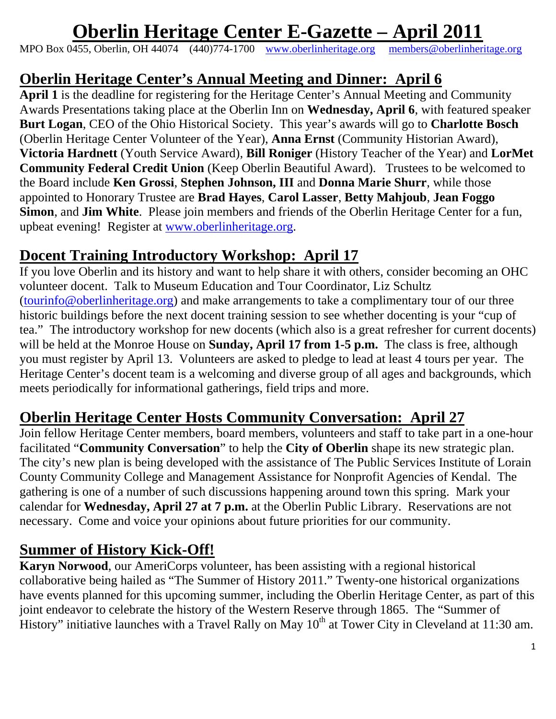# **Oberlin Heritage Center E-Gazette – April 2011**

MPO Box 0455, Oberlin, OH 44074 (440)774-1700 [www.oberlinheritage.org](http://www.oberlinheritage.org/) [members@oberlinheritage.org](mailto:members@oberlinheritage.org) 

# **Oberlin Heritage Center's Annual Meeting and Dinner: April 6**

**April 1** is the deadline for registering for the Heritage Center's Annual Meeting and Community Awards Presentations taking place at the Oberlin Inn on **Wednesday, April 6**, with featured speaker **Burt Logan**, CEO of the Ohio Historical Society. This year's awards will go to **Charlotte Bosch** (Oberlin Heritage Center Volunteer of the Year), **Anna Ernst** (Community Historian Award), **Victoria Hardnett** (Youth Service Award), **Bill Roniger** (History Teacher of the Year) and **LorMet Community Federal Credit Union** (Keep Oberlin Beautiful Award). Trustees to be welcomed to the Board include **Ken Grossi**, **Stephen Johnson, III** and **Donna Marie Shurr**, while those appointed to Honorary Trustee are **Brad Hayes**, **Carol Lasser**, **Betty Mahjoub**, **Jean Foggo Simon**, and **Jim White**. Please join members and friends of the Oberlin Heritage Center for a fun, upbeat evening! Register at [www.oberlinheritage.org.](http://www.oberlinheritage.org/)

# **Docent Training Introductory Workshop: April 17**

If you love Oberlin and its history and want to help share it with others, consider becoming an OHC volunteer docent. Talk to Museum Education and Tour Coordinator, Liz Schultz [\(tourinfo@oberlinheritage.org](mailto:tourinfo@oberlinheritage.org)) and make arrangements to take a complimentary tour of our three historic buildings before the next docent training session to see whether docenting is your "cup of tea." The introductory workshop for new docents (which also is a great refresher for current docents) will be held at the Monroe House on **Sunday, April 17 from 1-5 p.m.** The class is free, although you must register by April 13. Volunteers are asked to pledge to lead at least 4 tours per year. The Heritage Center's docent team is a welcoming and diverse group of all ages and backgrounds, which meets periodically for informational gatherings, field trips and more.

# **Oberlin Heritage Center Hosts Community Conversation: April 27**

Join fellow Heritage Center members, board members, volunteers and staff to take part in a one-hour facilitated "**Community Conversation**" to help the **City of Oberlin** shape its new strategic plan. The city's new plan is being developed with the assistance of The Public Services Institute of Lorain County Community College and Management Assistance for Nonprofit Agencies of Kendal. The gathering is one of a number of such discussions happening around town this spring. Mark your calendar for **Wednesday, April 27 at 7 p.m.** at the Oberlin Public Library. Reservations are not necessary. Come and voice your opinions about future priorities for our community.

# **Summer of History Kick-Off!**

**Karyn Norwood**, our AmeriCorps volunteer, has been assisting with a regional historical collaborative being hailed as "The Summer of History 2011." Twenty-one historical organizations have events planned for this upcoming summer, including the Oberlin Heritage Center, as part of this joint endeavor to celebrate the history of the Western Reserve through 1865. The "Summer of History" initiative launches with a Travel Rally on May  $10<sup>th</sup>$  at Tower City in Cleveland at 11:30 am.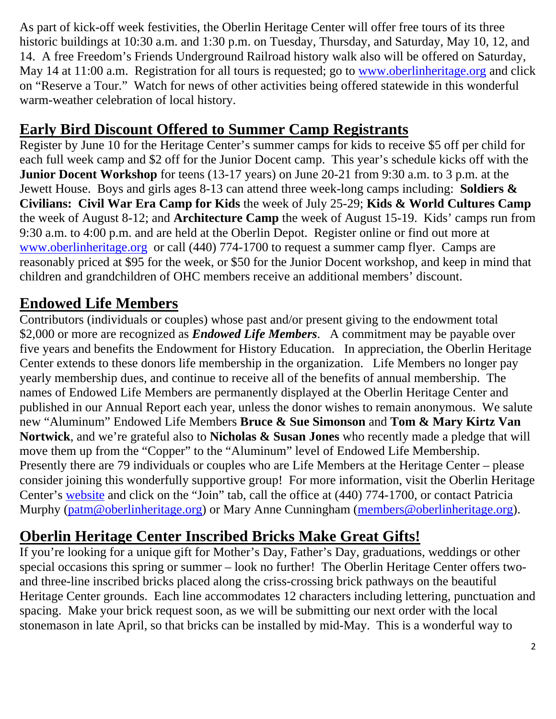As part of kick-off week festivities, the Oberlin Heritage Center will offer free tours of its three historic buildings at 10:30 a.m. and 1:30 p.m. on Tuesday, Thursday, and Saturday, May 10, 12, and 14. A free Freedom's Friends Underground Railroad history walk also will be offered on Saturday, May 14 at 11:00 a.m. Registration for all tours is requested; go to [www.oberlinheritage.org](http://www.oberlinheritage.org/) and click on "Reserve a Tour." Watch for news of other activities being offered statewide in this wonderful warm-weather celebration of local history.

# **Early Bird Discount Offered to Summer Camp Registrants**

Register by June 10 for the Heritage Center's summer camps for kids to receive \$5 off per child for each full week camp and \$2 off for the Junior Docent camp. This year's schedule kicks off with the **Junior Docent Workshop** for teens (13-17 years) on June 20-21 from 9:30 a.m. to 3 p.m. at the Jewett House. Boys and girls ages 8-13 can attend three week-long camps including: **Soldiers & Civilians: Civil War Era Camp for Kids** the week of July 25-29; **Kids & World Cultures Camp** the week of August 8-12; and **Architecture Camp** the week of August 15-19. Kids' camps run from 9:30 a.m. to 4:00 p.m. and are held at the Oberlin Depot. Register online or find out more at [www.oberlinheritage.org](http://www.oberlinheritage.org/) or call (440) 774-1700 to request a summer camp flyer. Camps are reasonably priced at \$95 for the week, or \$50 for the Junior Docent workshop, and keep in mind that children and grandchildren of OHC members receive an additional members' discount.

# **Endowed Life Members**

Contributors (individuals or couples) whose past and/or present giving to the endowment total \$2,000 or more are recognized as *Endowed Life Members*. A commitment may be payable over five years and benefits the Endowment for History Education. In appreciation, the Oberlin Heritage Center extends to these donors life membership in the organization. Life Members no longer pay yearly membership dues, and continue to receive all of the benefits of annual membership. The names of Endowed Life Members are permanently displayed at the Oberlin Heritage Center and published in our Annual Report each year, unless the donor wishes to remain anonymous. We salute new "Aluminum" Endowed Life Members **Bruce & Sue Simonson** and **Tom & Mary Kirtz Van Nortwick**, and we're grateful also to **Nicholas & Susan Jones** who recently made a pledge that will move them up from the "Copper" to the "Aluminum" level of Endowed Life Membership. Presently there are 79 individuals or couples who are Life Members at the Heritage Center – please consider joining this wonderfully supportive group! For more information, visit the Oberlin Heritage Center's [website](http://www.oberlinheritage.org/getinvolved/join) and click on the "Join" tab, call the office at (440) 774-1700, or contact Patricia Murphy ([patm@oberlinheritage.org\)](mailto:patm@oberlinheritage.org) or Mary Anne Cunningham [\(members@oberlinheritage.org](mailto:members@oberlinheritage.org)).

# **Oberlin Heritage Center Inscribed Bricks Make Great Gifts!**

If you're looking for a unique gift for Mother's Day, Father's Day, graduations, weddings or other special occasions this spring or summer – look no further! The Oberlin Heritage Center offers twoand three-line inscribed bricks placed along the criss-crossing brick pathways on the beautiful Heritage Center grounds. Each line accommodates 12 characters including lettering, punctuation and spacing. Make your brick request soon, as we will be submitting our next order with the local stonemason in late April, so that bricks can be installed by mid-May. This is a wonderful way to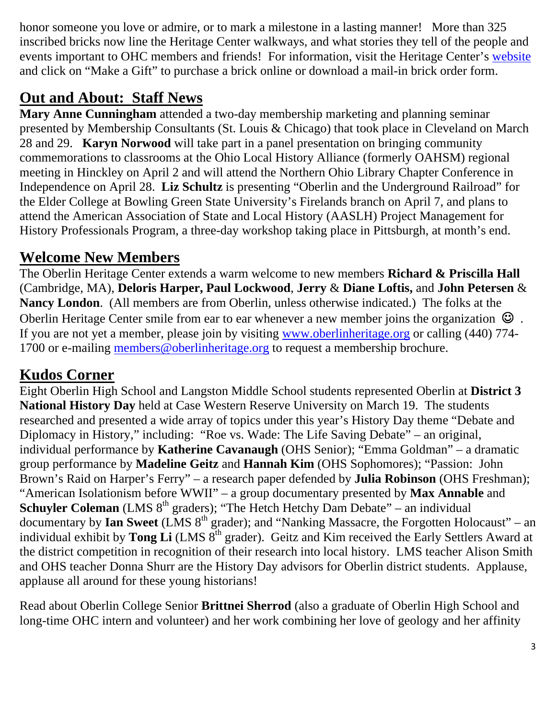honor someone you love or admire, or to mark a milestone in a lasting manner! More than 325 inscribed bricks now line the Heritage Center walkways, and what stories they tell of the people and events important to OHC members and friends! For information, visit the Heritage Center's [website](http://www.oberlinheritage.org/getinvolved/makeagift) and click on "Make a Gift" to purchase a brick online or download a mail-in brick order form.

**Out and About: Staff News**<br>Mary Anne Cunningham attended a two-day membership marketing and planning seminar presented by Membership Consultants (St. Louis & Chicago) that took place in Cleveland on March 28 and 29. **Karyn Norwood** will take part in a panel presentation on bringing community commemorations to classrooms at the Ohio Local History Alliance (formerly OAHSM) regional meeting in Hinckley on April 2 and will attend the Northern Ohio Library Chapter Conference in Independence on April 28. **Liz Schultz** is presenting "Oberlin and the Underground Railroad" for the Elder College at Bowling Green State University's Firelands branch on April 7, and plans to attend the American Association of State and Local History (AASLH) Project Management for History Professionals Program, a three-day workshop taking place in Pittsburgh, at month's end.

# **Welcome New Members**

The Oberlin Heritage Center extends a warm welcome to new members **Richard & Priscilla Hall**  (Cambridge, MA), **Deloris Harper, Paul Lockwood**, **Jerry** & **Diane Loftis,** and **John Petersen** & **Nancy London**. (All members are from Oberlin, unless otherwise indicated.) The folks at the Oberlin Heritage Center smile from ear to ear whenever a new member joins the organization  $\odot$ . If you are not yet a member, please join by visiting [www.oberlinheritage.org](http://www.oberlinheritage.org/) or calling (440) 774 1700 or e-mailing [members@oberlinheritage.org](mailto:members@oberlinheritage.org) to request a membership brochure.

# **Kudos Corner**

Eight Oberlin High School and Langston Middle School students represented Oberlin at **District 3 National History Day** held at Case Western Reserve University on March 19. The students researched and presented a wide array of topics under this year's History Day theme "Debate and Diplomacy in History," including: "Roe vs. Wade: The Life Saving Debate" – an original, individual performance by **Katherine Cavanaugh** (OHS Senior); "Emma Goldman" – a dramatic group performance by **Madeline Geitz** and **Hannah Kim** (OHS Sophomores); "Passion: John Brown's Raid on Harper's Ferry" – a research paper defended by **Julia Robinson** (OHS Freshman); "American Isolationism before WWII" – a group documentary presented by **Max Annable** and **Schuyler Coleman** (LMS 8<sup>th</sup> graders); "The Hetch Hetchy Dam Debate" – an individual documentary by **Ian Sweet** (LMS 8<sup>th</sup> grader); and "Nanking Massacre, the Forgotten Holocaust" – an individual exhibit by **Tong Li** (LMS 8<sup>th</sup> grader). Geitz and Kim received the Early Settlers Award at the district competition in recognition of their research into local history. LMS teacher Alison Smith and OHS teacher Donna Shurr are the History Day advisors for Oberlin district students. Applause, applause all around for these young historians!

Read about Oberlin College Senior **Brittnei Sherrod** (also a graduate of Oberlin High School and long-time OHC intern and volunteer) and her work combining her love of geology and her affinity